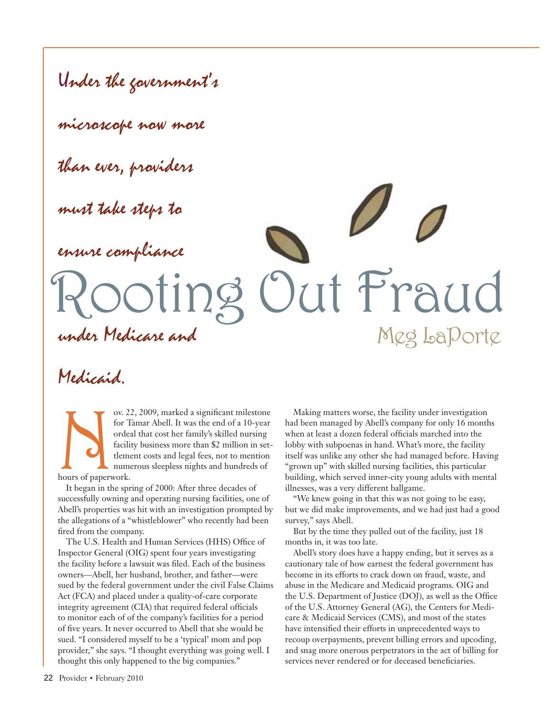It Fraud Under the government's microscope now more than ever, providers must take steps to ensure compliance under Medicare and Meg LaPorte

# Medicaid.

ov. 22, 2009, marked a significant milestone<br>for Tamar Abell. It was the end of a 10-year<br>ordeal that cost her family's skilled nursing<br>facility business more than \$2 million in set-<br>tlement costs and legal fees, not to me for Tamar Abell. It was the end of a 10-year ordeal that cost her family's skilled nursing facility business more than \$2 million in settlement costs and legal fees, not to mention numerous sleepless nights and hundreds of hours of paperwork.

It began in the spring of 2000: After three decades of successfully owning and operating nursing facilities, one of Abell's properties was hit with an investigation prompted by the allegations of a "whistleblower" who recently had been fired from the company.

The U.S. Health and Human Services (HHS) Office of Inspector General (OIG) spent four years investigating the facility before a lawsuit was filed. Each of the business owners—Abell, her husband, brother, and father—were sued by the federal government under the civil False Claims Act (FCA) and placed under a quality-of-care corporate integrity agreement (CIA) that required federal officials to monitor each of of the company's facilities for a period of five years. It never occurred to Abell that she would be sued. "I considered myself to be a 'typical' mom and pop provider," she says. "I thought everything was going well. I thought this only happened to the big companies."

Making matters worse, the facility under investigation had been managed by Abell's company for only 16 months when at least a dozen federal officials marched into the lobby with subpoenas in hand. What's more, the facility itself was unlike any other she had managed before. Having "grown up" with skilled nursing facilities, this particular building, which served inner-city young adults with mental illnesses, was a very different ballgame.

"We knew going in that this was not going to be easy, but we did make improvements, and we had just had a good survey," says Abell.

But by the time they pulled out of the facility, just 18 months in, it was too late.

Abell's story does have a happy ending, but it serves as a cautionary tale of how earnest the federal government has become in its efforts to crack down on fraud, waste, and abuse in the Medicare and Medicaid programs. OIG and the U.S. Department of Justice (DOJ), as well as the Office of the U.S. Attorney General (AG), the Centers for Medicare & Medicaid Services (CMS), and most of the states have intensified their efforts in unprecedented ways to recoup overpayments, prevent billing errors and upcoding, and snag more onerous perpetrators in the act of billing for services never rendered or for deceased beneficiaries.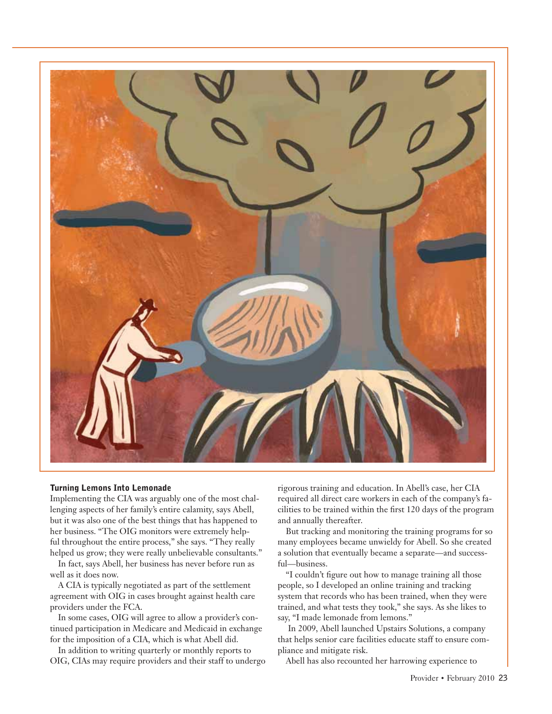

#### **Turning Lemons Into Lemonade**

Implementing the CIA was arguably one of the most challenging aspects of her family's entire calamity, says Abell, but it was also one of the best things that has happened to her business. "The OIG monitors were extremely helpful throughout the entire process," she says. "They really helped us grow; they were really unbelievable consultants."

In fact, says Abell, her business has never before run as well as it does now.

A CIA is typically negotiated as part of the settlement agreement with OIG in cases brought against health care providers under the FCA.

In some cases, OIG will agree to allow a provider's continued participation in Medicare and Medicaid in exchange for the imposition of a CIA, which is what Abell did.

In addition to writing quarterly or monthly reports to OIG, CIAs may require providers and their staff to undergo rigorous training and education. In Abell's case, her CIA required all direct care workers in each of the company's facilities to be trained within the first 120 days of the program and annually thereafter.

But tracking and monitoring the training programs for so many employees became unwieldy for Abell. So she created a solution that eventually became a separate—and successful—business.

"I couldn't figure out how to manage training all those people, so I developed an online training and tracking system that records who has been trained, when they were trained, and what tests they took," she says. As she likes to say, "I made lemonade from lemons."

 In 2009, Abell launched Upstairs Solutions, a company that helps senior care facilities educate staff to ensure compliance and mitigate risk.

Abell has also recounted her harrowing experience to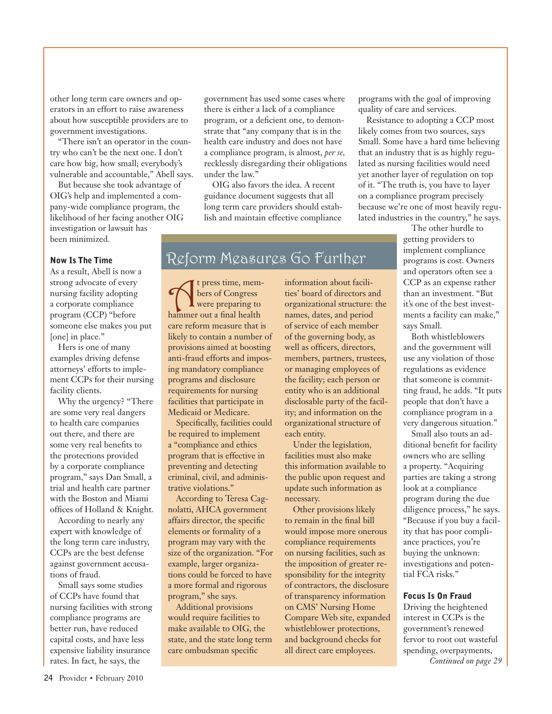other long term care owners and operators in an effort to raise awareness about how susceptible providers are to government investigations.

"There isn't an operator in the country who can't be the next one. I don't care how big, how small; everybody's vulnerable and accountable," Abell says.

But because she took advantage of OIG's help and implemented a company-wide compliance program, the likelihood of her facing another OIG investigation or lawsuit has been minimized.

#### **Now Is The Time**

As a result, Abell is now a strong advocate of every nursing facility adopting a corporate compliance program (CCP) "before someone else makes you put [one] in place."

Hers is one of many examples driving defense attorneys' efforts to implement CCPs for their nursing facility clients.

Why the urgency? "There are some very real dangers to health care companies out there, and there are some very real benefits to the protections provided by a corporate compliance program," says Dan Small, a trial and health care partner with the Boston and Miami offices of Holland & Knight.

According to nearly any expert with knowledge of the long term care industry, CCPs are the best defense against government accusations of fraud.

Small says some studies of CCPs have found that nursing facilities with strong compliance programs are better run, have reduced capital costs, and have less expensive liability insurance rates. In fact, he says, the

government has used some cases where there is either a lack of a compliance program, or a deficient one, to demonstrate that "any company that is in the health care industry and does not have a compliance program, is almost, *per se,*  recklessly disregarding their obligations under the law."

OIG also favors the idea. A recent guidance document suggests that all long term care providers should establish and maintain effective compliance

## Reform Measures Go Further

t press time, mem-<br>
bers of Congress<br>
were preparing to<br>
hanner out a final health bers of Congress hammer out a final health care reform measure that is likely to contain a number of provisions aimed at boosting anti-fraud efforts and imposing mandatory compliance programs and disclosure requirements for nursing facilities that participate in Medicaid or Medicare.

Specifically, facilities could be required to implement a "compliance and ethics program that is effective in preventing and detecting criminal, civil, and administrative violations."

According to Teresa Cagnolatti, AHCA government affairs director, the specific elements or formality of a program may vary with the size of the organization. "For example, larger organizations could be forced to have a more formal and rigorous program," she says.

Additional provisions would require facilities to make available to OIG, the state, and the state long term care ombudsman specific

information about facilities' board of directors and organizational structure: the names, dates, and period of service of each member of the governing body, as well as officers, directors, members, partners, trustees, or managing employees of the facility; each person or entity who is an additional disclosable party of the facility; and information on the organizational structure of each entity.

Under the legislation, facilities must also make this information available to the public upon request and update such information as necessary.

Other provisions likely to remain in the final bill would impose more onerous compliance requirements on nursing facilities, such as the imposition of greater responsibility for the integrity of contractors, the disclosure of transparency information on CMS' Nursing Home Compare Web site, expanded whistleblower protections, and background checks for all direct care employees.

programs with the goal of improving quality of care and services.

Resistance to adopting a CCP most likely comes from two sources, says Small. Some have a hard time believing that an industry that is as highly regulated as nursing facilities would need yet another layer of regulation on top of it. "The truth is, you have to layer on a compliance program precisely because we're one of most heavily regulated industries in the country," he says.

> The other hurdle to getting providers to implement compliance programs is cost. Owners and operators often see a CCP as an expense rather than an investment. "But it's one of the best investments a facility can make," says Small.

Both whistleblowers and the government will use any violation of those regulations as evidence that someone is committing fraud, he adds. "It puts people that don't have a compliance program in a very dangerous situation."

Small also touts an additional benefit for facility owners who are selling a property. "Acquiring parties are taking a strong look at a compliance program during the due diligence process," he says. "Because if you buy a facility that has poor compliance practices, you're buying the unknown: investigations and potential FCA risks."

#### **Focus Is On Fraud**

Driving the heightened interest in CCPs is the government's renewed fervor to root out wasteful spending, overpayments, *Continued on page 29*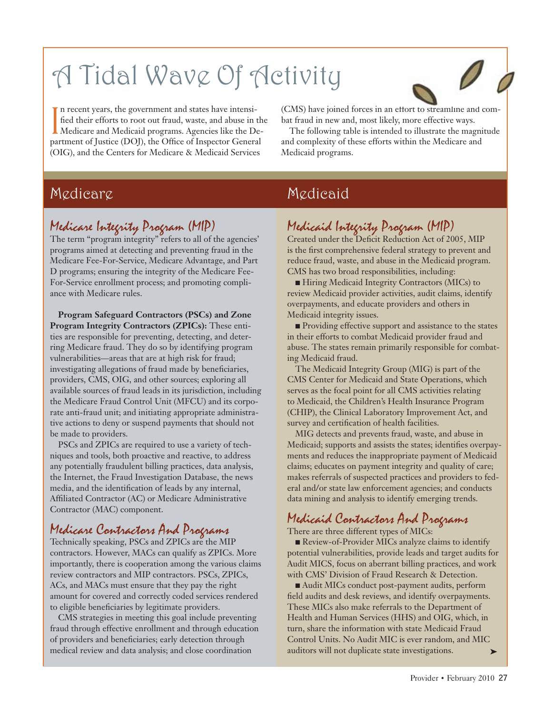# A Tidal Wave Of Activity



In recent years, the government and states have intensi-<br>fied their efforts to root out fraud, waste, and abuse in<br>Medicare and Medicaid programs. Agencies like the Department of Justice (DOI), the Office of Inspector Gene fied their efforts to root out fraud, waste, and abuse in the Medicare and Medicaid programs. Agencies like the Department of Justice (DOJ), the Office of Inspector General (OIG), and the Centers for Medicare & Medicaid Services

(CMS) have joined forces in an effort to streamline and combat fraud in new and, most likely, more effective ways.

The following table is intended to illustrate the magnitude and complexity of these efforts within the Medicare and Medicaid programs.

## Medicare

## Medicare Integrity Program (MIP)

The term "program integrity" refers to all of the agencies' programs aimed at detecting and preventing fraud in the Medicare Fee-For-Service, Medicare Advantage, and Part D programs; ensuring the integrity of the Medicare Fee-For-Service enrollment process; and promoting compliance with Medicare rules.

**Program Safeguard Contractors (PSCs) and Zone Program Integrity Contractors (ZPICs):** These entities are responsible for preventing, detecting, and deterring Medicare fraud. They do so by identifying program vulnerabilities—areas that are at high risk for fraud; investigating allegations of fraud made by beneficiaries, providers, CMS, OIG, and other sources; exploring all available sources of fraud leads in its jurisdiction, including the Medicare Fraud Control Unit (MFCU) and its corporate anti-fraud unit; and initiating appropriate administrative actions to deny or suspend payments that should not be made to providers.

PSCs and ZPICs are required to use a variety of techniques and tools, both proactive and reactive, to address any potentially fraudulent billing practices, data analysis, the Internet, the Fraud Investigation Database, the news media, and the identification of leads by any internal, Affiliated Contractor (AC) or Medicare Administrative Contractor (MAC) component.

## Medicare Contractors And Programs

Technically speaking, PSCs and ZPICs are the MIP contractors. However, MACs can qualify as ZPICs. More importantly, there is cooperation among the various claims review contractors and MIP contractors. PSCs, ZPICs, ACs, and MACs must ensure that they pay the right amount for covered and correctly coded services rendered to eligible beneficiaries by legitimate providers.

CMS strategies in meeting this goal include preventing fraud through effective enrollment and through education of providers and beneficiaries; early detection through medical review and data analysis; and close coordination

## Medicaid

## Medicaid Integrity Program (MIP)

Created under the Deficit Reduction Act of 2005, MIP is the first comprehensive federal strategy to prevent and reduce fraud, waste, and abuse in the Medicaid program. CMS has two broad responsibilities, including:

■ Hiring Medicaid Integrity Contractors (MICs) to review Medicaid provider activities, audit claims, identify overpayments, and educate providers and others in Medicaid integrity issues.

 $\blacksquare$  Providing effective support and assistance to the states in their efforts to combat Medicaid provider fraud and abuse. The states remain primarily responsible for combating Medicaid fraud.

The Medicaid Integrity Group (MIG) is part of the CMS Center for Medicaid and State Operations, which serves as the focal point for all CMS activities relating to Medicaid, the Children's Health Insurance Program (CHIP), the Clinical Laboratory Improvement Act, and survey and certification of health facilities.

MIG detects and prevents fraud, waste, and abuse in Medicaid; supports and assists the states; identifies overpayments and reduces the inappropriate payment of Medicaid claims; educates on payment integrity and quality of care; makes referrals of suspected practices and providers to federal and/or state law enforcement agencies; and conducts data mining and analysis to identify emerging trends.

## Medicaid Contractors And Programs

There are three different types of MICs:

 $\blacksquare$  Review-of-Provider MICs analyze claims to identify potential vulnerabilities, provide leads and target audits for Audit MICS, focus on aberrant billing practices, and work with CMS' Division of Fraud Research & Detection.

■ Audit MICs conduct post-payment audits, perform field audits and desk reviews, and identify overpayments. These MICs also make referrals to the Department of Health and Human Services (HHS) and OIG, which, in turn, share the information with state Medicaid Fraud Control Units. No Audit MIC is ever random, and MIC auditors will not duplicate state investigations.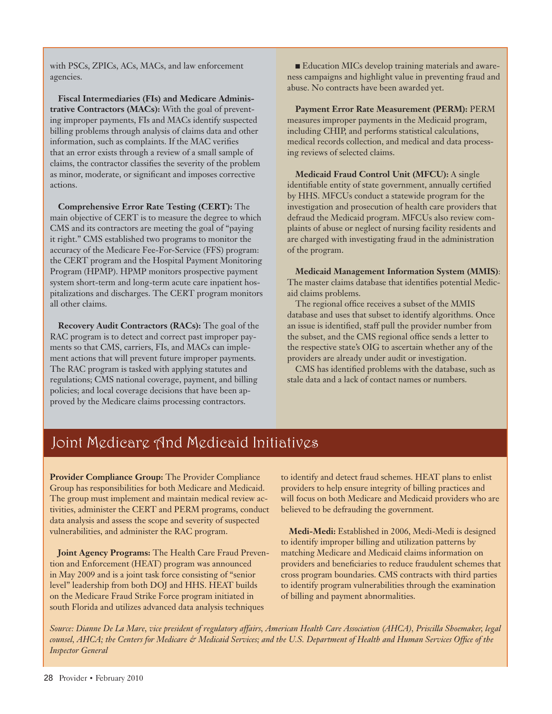with PSCs, ZPICs, ACs, MACs, and law enforcement agencies.

**Fiscal Intermediaries (FIs) and Medicare Administrative Contractors (MACs):** With the goal of preventing improper payments, FIs and MACs identify suspected billing problems through analysis of claims data and other information, such as complaints. If the MAC verifies that an error exists through a review of a small sample of claims, the contractor classifies the severity of the problem as minor, moderate, or significant and imposes corrective actions.

**Comprehensive Error Rate Testing (CERT):** The main objective of CERT is to measure the degree to which CMS and its contractors are meeting the goal of "paying it right." CMS established two programs to monitor the accuracy of the Medicare Fee-For-Service (FFS) program: the CERT program and the Hospital Payment Monitoring Program (HPMP). HPMP monitors prospective payment system short-term and long-term acute care inpatient hospitalizations and discharges. The CERT program monitors all other claims.

**Recovery Audit Contractors (RACs):** The goal of the RAC program is to detect and correct past improper payments so that CMS, carriers, FIs, and MACs can implement actions that will prevent future improper payments. The RAC program is tasked with applying statutes and regulations; CMS national coverage, payment, and billing policies; and local coverage decisions that have been approved by the Medicare claims processing contractors.

 $\blacksquare$  Education MICs develop training materials and awareness campaigns and highlight value in preventing fraud and abuse. No contracts have been awarded yet.

**Payment Error Rate Measurement (PERM):** PERM measures improper payments in the Medicaid program, including CHIP, and performs statistical calculations, medical records collection, and medical and data processing reviews of selected claims.

**Medicaid Fraud Control Unit (MFCU):** A single identifiable entity of state government, annually certified by HHS. MFCUs conduct a statewide program for the investigation and prosecution of health care providers that defraud the Medicaid program. MFCUs also review complaints of abuse or neglect of nursing facility residents and are charged with investigating fraud in the administration of the program.

**Medicaid Management Information System (MMIS)**: The master claims database that identifies potential Medicaid claims problems.

The regional office receives a subset of the MMIS database and uses that subset to identify algorithms. Once an issue is identified, staff pull the provider number from the subset, and the CMS regional office sends a letter to the respective state's OIG to ascertain whether any of the providers are already under audit or investigation.

CMS has identified problems with the database, such as stale data and a lack of contact names or numbers.

## Joint Medicare And Medicaid Initiatives

**Provider Compliance Group:** The Provider Compliance Group has responsibilities for both Medicare and Medicaid. The group must implement and maintain medical review activities, administer the CERT and PERM programs, conduct data analysis and assess the scope and severity of suspected vulnerabilities, and administer the RAC program.

**Joint Agency Programs:** The Health Care Fraud Prevention and Enforcement (HEAT) program was announced in May 2009 and is a joint task force consisting of "senior level" leadership from both DOJ and HHS. HEAT builds on the Medicare Fraud Strike Force program initiated in south Florida and utilizes advanced data analysis techniques

to identify and detect fraud schemes. HEAT plans to enlist providers to help ensure integrity of billing practices and will focus on both Medicare and Medicaid providers who are believed to be defrauding the government.

**Medi-Medi:** Established in 2006, Medi-Medi is designed to identify improper billing and utilization patterns by matching Medicare and Medicaid claims information on providers and beneficiaries to reduce fraudulent schemes that cross program boundaries. CMS contracts with third parties to identify program vulnerabilities through the examination of billing and payment abnormalities.

*Source: Dianne De La Mare, vice president of regulatory affairs, American Health Care Association (AHCA), Priscilla Shoemaker, legal counsel, AHCA; the Centers for Medicare & Medicaid Services; and the U.S. Department of Health and Human Services Office of the Inspector General*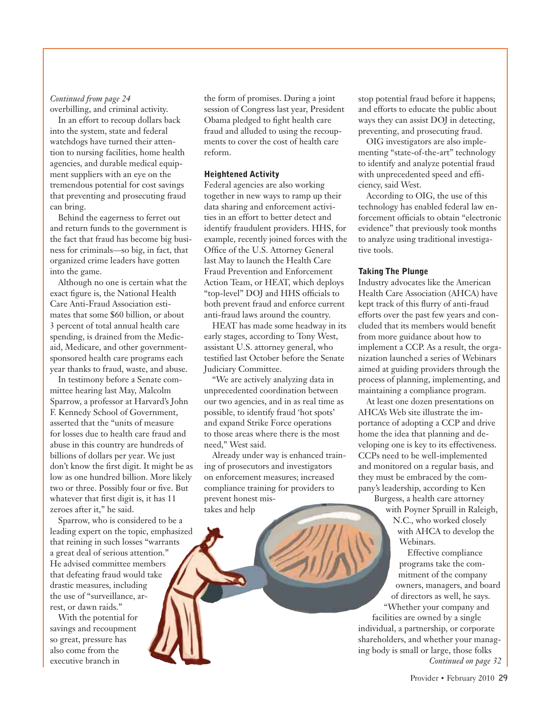## *Continued from page 24*

overbilling, and criminal activity. In an effort to recoup dollars back into the system, state and federal watchdogs have turned their attention to nursing facilities, home health agencies, and durable medical equipment suppliers with an eye on the tremendous potential for cost savings that preventing and prosecuting fraud can bring.

Behind the eagerness to ferret out and return funds to the government is the fact that fraud has become big business for criminals—so big, in fact, that organized crime leaders have gotten into the game.

Although no one is certain what the exact figure is, the National Health Care Anti-Fraud Association estimates that some \$60 billion, or about 3 percent of total annual health care spending, is drained from the Medicaid, Medicare, and other governmentsponsored health care programs each year thanks to fraud, waste, and abuse.

In testimony before a Senate committee hearing last May, Malcolm Sparrow, a professor at Harvard's John F. Kennedy School of Government, asserted that the "units of measure for losses due to health care fraud and abuse in this country are hundreds of billions of dollars per year. We just don't know the first digit. It might be as low as one hundred billion. More likely two or three. Possibly four or five. But whatever that first digit is, it has 11 zeroes after it," he said.

Sparrow, who is considered to be a leading expert on the topic, emphasized that reining in such losses "warrants a great deal of serious attention." He advised committee members that defeating fraud would take drastic measures, including the use of "surveillance, arrest, or dawn raids."

With the potential for savings and recoupment so great, pressure has also come from the executive branch in

the form of promises. During a joint session of Congress last year, President Obama pledged to fight health care fraud and alluded to using the recoupments to cover the cost of health care reform.

## **Heightened Activity**

Federal agencies are also working together in new ways to ramp up their data sharing and enforcement activities in an effort to better detect and identify fraudulent providers. HHS, for example, recently joined forces with the Office of the U.S. Attorney General last May to launch the Health Care Fraud Prevention and Enforcement Action Team, or HEAT, which deploys "top-level" DOJ and HHS officials to both prevent fraud and enforce current anti-fraud laws around the country.

HEAT has made some headway in its early stages, according to Tony West, assistant U.S. attorney general, who testified last October before the Senate Judiciary Committee.

"We are actively analyzing data in unprecedented coordination between our two agencies, and in as real time as possible, to identify fraud 'hot spots' and expand Strike Force operations to those areas where there is the most need," West said.

Already under way is enhanced training of prosecutors and investigators on enforcement measures; increased compliance training for providers to prevent honest mistakes and help

stop potential fraud before it happens; and efforts to educate the public about ways they can assist DOJ in detecting, preventing, and prosecuting fraud.

OIG investigators are also implementing "state-of-the-art" technology to identify and analyze potential fraud with unprecedented speed and efficiency, said West.

According to OIG, the use of this technology has enabled federal law enforcement officials to obtain "electronic evidence" that previously took months to analyze using traditional investigative tools.

#### **Taking The Plunge**

Industry advocates like the American Health Care Association (AHCA) have kept track of this flurry of anti-fraud efforts over the past few years and concluded that its members would benefit from more guidance about how to implement a CCP. As a result, the organization launched a series of Webinars aimed at guiding providers through the process of planning, implementing, and maintaining a compliance program.

At least one dozen presentations on AHCA's Web site illustrate the importance of adopting a CCP and drive home the idea that planning and developing one is key to its effectiveness. CCPs need to be well-implemented and monitored on a regular basis, and they must be embraced by the company's leadership, according to Ken

Burgess, a health care attorney with Poyner Spruill in Raleigh, N.C., who worked closely with AHCA to develop the Webinars.

Effective compliance programs take the commitment of the company owners, managers, and board of directors as well, he says. "Whether your company and

facilities are owned by a single individual, a partnership, or corporate shareholders, and whether your managing body is small or large, those folks *Continued on page 32*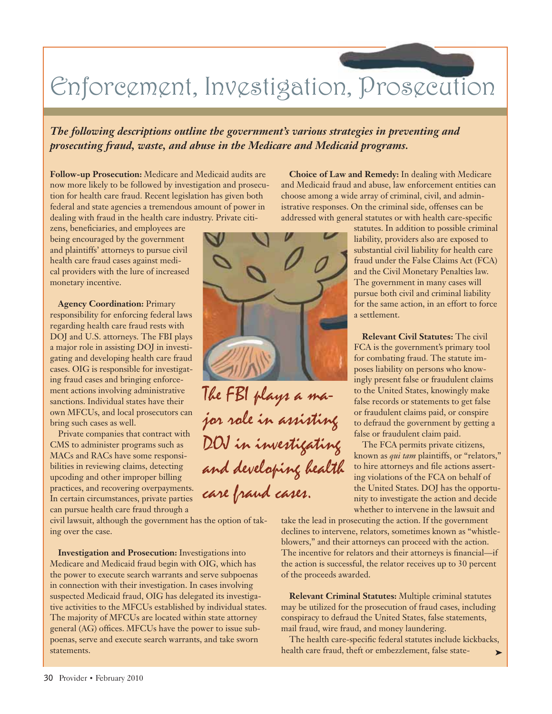# Enforcement, Investigation, Prosecution

*The following descriptions outline the government's various strategies in preventing and prosecuting fraud, waste, and abuse in the Medicare and Medicaid programs.*

**Follow-up Prosecution:** Medicare and Medicaid audits are now more likely to be followed by investigation and prosecution for health care fraud. Recent legislation has given both federal and state agencies a tremendous amount of power in dealing with fraud in the health care industry. Private citi-

zens, beneficiaries, and employees are being encouraged by the government and plaintiffs' attorneys to pursue civil health care fraud cases against medical providers with the lure of increased monetary incentive.

**Agency Coordination:** Primary responsibility for enforcing federal laws regarding health care fraud rests with DOJ and U.S. attorneys. The FBI plays a major role in assisting DOJ in investigating and developing health care fraud cases. OIG is responsible for investigating fraud cases and bringing enforcement actions involving administrative sanctions. Individual states have their own MFCUs, and local prosecutors can bring such cases as well.

Private companies that contract with CMS to administer programs such as MACs and RACs have some responsibilities in reviewing claims, detecting upcoding and other improper billing practices, and recovering overpayments. In certain circumstances, private parties can pursue health care fraud through a

civil lawsuit, although the government has the option of taking over the case.

**Investigation and Prosecution:** Investigations into Medicare and Medicaid fraud begin with OIG, which has the power to execute search warrants and serve subpoenas in connection with their investigation. In cases involving suspected Medicaid fraud, OIG has delegated its investigative activities to the MFCUs established by individual states. The majority of MFCUs are located within state attorney general (AG) offices. MFCUs have the power to issue subpoenas, serve and execute search warrants, and take sworn statements.

istrative responses. On the criminal side, offenses can be addressed with general statutes or with health care-specific statutes. In addition to possible criminal liability, providers also are exposed to substantial civil liability for health care fraud under the False Claims Act (FCA) and the Civil Monetary Penalties law. The government in many cases will pursue both civil and criminal liability

> **Relevant Civil Statutes:** The civil FCA is the government's primary tool for combating fraud. The statute imposes liability on persons who knowingly present false or fraudulent claims to the United States, knowingly make false records or statements to get false or fraudulent claims paid, or conspire to defraud the government by getting a false or fraudulent claim paid.

for the same action, in an effort to force

**Choice of Law and Remedy:** In dealing with Medicare and Medicaid fraud and abuse, law enforcement entities can choose among a wide array of criminal, civil, and admin-

a settlement.

The FCA permits private citizens, known as *qui tam* plaintiffs, or "relators," to hire attorneys and file actions asserting violations of the FCA on behalf of the United States. DOJ has the opportunity to investigate the action and decide whether to intervene in the lawsuit and

take the lead in prosecuting the action. If the government declines to intervene, relators, sometimes known as "whistleblowers," and their attorneys can proceed with the action. The incentive for relators and their attorneys is financial—if the action is successful, the relator receives up to 30 percent of the proceeds awarded.

**Relevant Criminal Statutes:** Multiple criminal statutes may be utilized for the prosecution of fraud cases, including conspiracy to defraud the United States, false statements, mail fraud, wire fraud, and money laundering.

The health care-specific federal statutes include kickbacks, health care fraud, theft or embezzlement, false state-¢



The FBI plays a major role in assisting DOJ in investigating and developing health care fraud cases.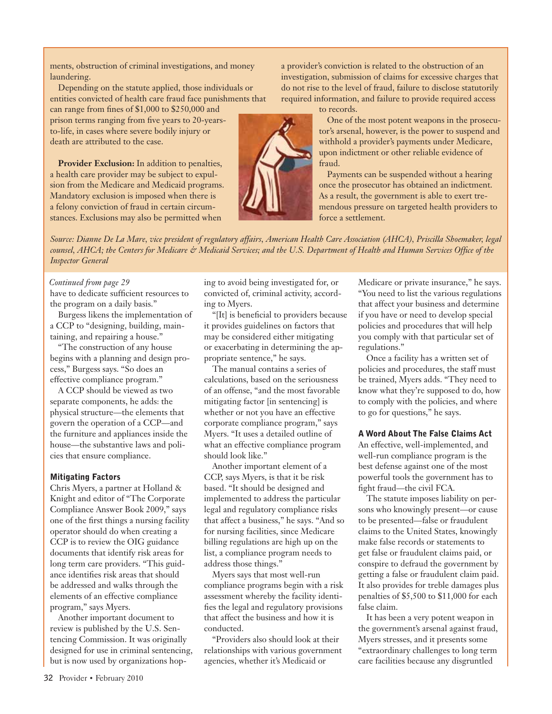ments, obstruction of criminal investigations, and money laundering.

Depending on the statute applied, those individuals or entities convicted of health care fraud face punishments that

can range from fines of \$1,000 to \$250,000 and prison terms ranging from five years to 20-yearsto-life, in cases where severe bodily injury or death are attributed to the case.

**Provider Exclusion:** In addition to penalties, a health care provider may be subject to expulsion from the Medicare and Medicaid programs. Mandatory exclusion is imposed when there is a felony conviction of fraud in certain circumstances. Exclusions may also be permitted when



a provider's conviction is related to the obstruction of an investigation, submission of claims for excessive charges that do not rise to the level of fraud, failure to disclose statutorily required information, and failure to provide required access

to records.

One of the most potent weapons in the prosecutor's arsenal, however, is the power to suspend and withhold a provider's payments under Medicare, upon indictment or other reliable evidence of fraud.

Payments can be suspended without a hearing once the prosecutor has obtained an indictment. As a result, the government is able to exert tremendous pressure on targeted health providers to force a settlement.

*Source: Dianne De La Mare, vice president of regulatory affairs, American Health Care Association (AHCA), Priscilla Shoemaker, legal counsel, AHCA; the Centers for Medicare & Medicaid Services; and the U.S. Department of Health and Human Services Office of the Inspector General*

#### *Continued from page 29*

have to dedicate sufficient resources to the program on a daily basis."

Burgess likens the implementation of a CCP to "designing, building, maintaining, and repairing a house."

"The construction of any house begins with a planning and design process," Burgess says. "So does an effective compliance program."

A CCP should be viewed as two separate components, he adds: the physical structure—the elements that govern the operation of a CCP—and the furniture and appliances inside the house—the substantive laws and policies that ensure compliance.

### **Mitigating Factors**

Chris Myers, a partner at Holland & Knight and editor of "The Corporate Compliance Answer Book 2009," says one of the first things a nursing facility operator should do when creating a CCP is to review the OIG guidance documents that identify risk areas for long term care providers. "This guidance identifies risk areas that should be addressed and walks through the elements of an effective compliance program," says Myers.

Another important document to review is published by the U.S. Sentencing Commission. It was originally designed for use in criminal sentencing, but is now used by organizations hoping to avoid being investigated for, or convicted of, criminal activity, according to Myers.

"[It] is beneficial to providers because it provides guidelines on factors that may be considered either mitigating or exacerbating in determining the appropriate sentence," he says.

The manual contains a series of calculations, based on the seriousness of an offense, "and the most favorable mitigating factor [in sentencing] is whether or not you have an effective corporate compliance program," says Myers. "It uses a detailed outline of what an effective compliance program should look like."

Another important element of a CCP, says Myers, is that it be risk based. "It should be designed and implemented to address the particular legal and regulatory compliance risks that affect a business," he says. "And so for nursing facilities, since Medicare billing regulations are high up on the list, a compliance program needs to address those things."

Myers says that most well-run compliance programs begin with a risk assessment whereby the facility identifies the legal and regulatory provisions that affect the business and how it is conducted.

"Providers also should look at their relationships with various government agencies, whether it's Medicaid or

Medicare or private insurance," he says. "You need to list the various regulations that affect your business and determine if you have or need to develop special policies and procedures that will help you comply with that particular set of regulations."

Once a facility has a written set of policies and procedures, the staff must be trained, Myers adds. "They need to know what they're supposed to do, how to comply with the policies, and where to go for questions," he says.

## **A Word About The False Claims Act**

An effective, well-implemented, and well-run compliance program is the best defense against one of the most powerful tools the government has to fight fraud—the civil FCA.

The statute imposes liability on persons who knowingly present—or cause to be presented—false or fraudulent claims to the United States, knowingly make false records or statements to get false or fraudulent claims paid, or conspire to defraud the government by getting a false or fraudulent claim paid. It also provides for treble damages plus penalties of \$5,500 to \$11,000 for each false claim.

It has been a very potent weapon in the government's arsenal against fraud, Myers stresses, and it presents some "extraordinary challenges to long term care facilities because any disgruntled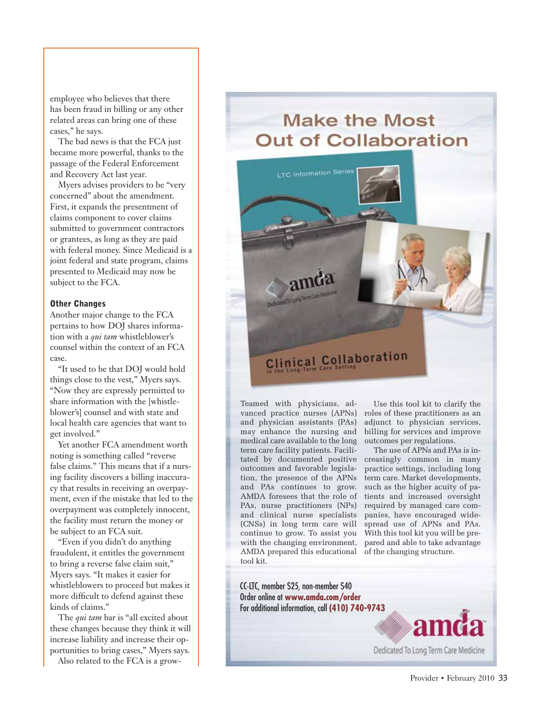employee who believes that there has been fraud in billing or any other related areas can bring one of these cases," he says.

The bad news is that the FCA just became more powerful, thanks to the passage of the Federal Enforcement and Recovery Act last year.

Myers advises providers to be "very concerned" about the amendment. First, it expands the presentment of claims component to cover claims submitted to government contractors or grantees, as long as they are paid with federal money. Since Medicaid is a joint federal and state program, claims presented to Medicaid may now be subject to the FCA.

#### **Other Changes**

Another major change to the FCA pertains to how DOJ shares information with a *qui tam* whistleblower's counsel within the context of an FCA case.

"It used to be that DOJ would hold things close to the vest," Myers says. "Now they are expressly permitted to share information with the [whistleblower's] counsel and with state and local health care agencies that want to get involved."

Yet another FCA amendment worth noting is something called "reverse false claims." This means that if a nursing facility discovers a billing inaccuracy that results in receiving an overpayment, even if the mistake that led to the overpayment was completely innocent, the facility must return the money or be subject to an FCA suit.

"Even if you didn't do anything fraudulent, it entitles the government to bring a reverse false claim suit," Myers says. "It makes it easier for whistleblowers to proceed but makes it more difficult to defend against these kinds of claims."

The *qui tam* bar is "all excited about these changes because they think it will increase liability and increase their opportunities to bring cases," Myers says.

Also related to the FCA is a grow-

# **Make the Most Out of Collaboration**



Teamed with physicians, advanced practice nurses (APNs) and physician assistants (PAs) may enhance the nursing and medical care available to the long term care facility patients. Facilitated by documented positive creasingly common in many outcomes and favorable legislation, the presence of the APNs and PAs continues to grow. AMDA foresees that the role of tients and increased oversight PAs, nurse practitioners (NPs) and clinical nurse specialists (CNSs) in long term care will continue to grow. To assist you With this tool kit you will be prewith the changing environment, AMDA prepared this educational tool kit.

Use this tool kit to clarify the roles of these practitioners as an adjunct to physician services, billing for services and improve outcomes per regulations.

The use of APNs and PAs is inpractice settings, including long term care. Market developments, such as the higher acuity of parequired by managed care companies, have encouraged widespread use of APNs and PAs. pared and able to take advantage of the changing structure.

Dedicated To Long Term Care Medicine

CC-LTC, member \$25, non-member \$40 Order online at **www.amda.com/order** For additional information, call **(410) 740-9743**

Provider • February 2010 33